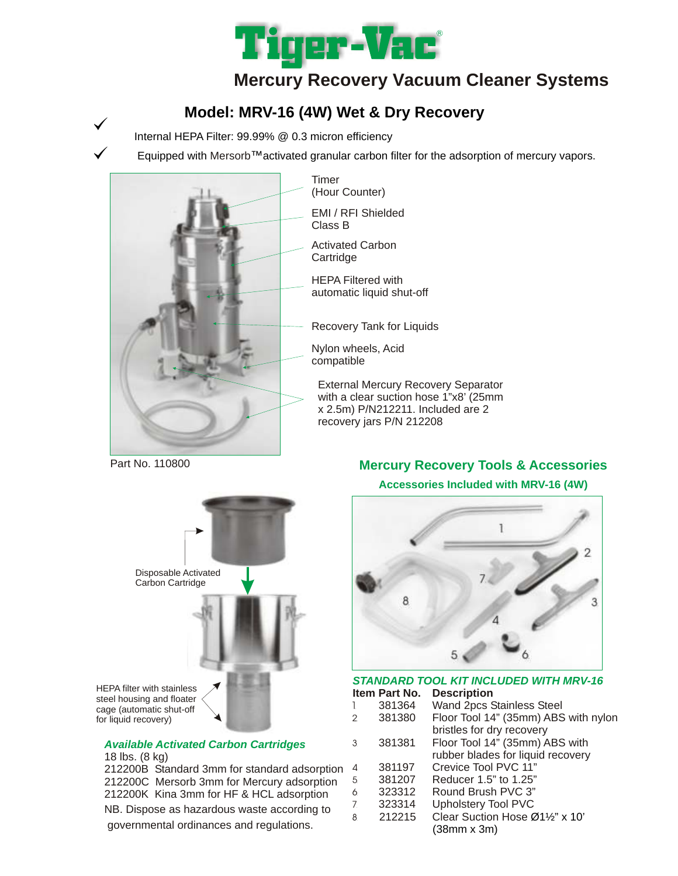

# **Mercury Recovery Vacuum Cleaner Systems**

## **Model: MRV-16 (4W) Wet & Dry Recovery**

Internal HEPA Filter: 99.99% @ 0.3 micron efficiency

Equipped with Mersorb™activated granular carbon filter for the adsorption of mercury vapors.



Timer (Hour Counter)

EMI / RFI Shielded Class B

Activated Carbon **Cartridge** 

HEPA Filtered with automatic liquid shut-off

Recovery Tank for Liquids

Nylon wheels, Acid compatible

External Mercury Recovery Separator with a clear suction hose 1"x8' (25mm x 2.5m) P/N212211. Included are 2 recovery jars P/N 212208

Part No. 110800

 $\checkmark$ 



### *Available Activated Carbon Cartridges*

18 lbs. (8 kg) 212200B Standard 3mm for standard adsorption 212200C Mersorb 3mm for Mercury adsorption 212200K Kina 3mm for HF & HCL adsorption NB. Dispose as hazardous waste according to governmental ordinances and regulations.

### **Mercury Recovery Tools & Accessories**

#### **Accessories Included with MRV-16 (4W)**



*STANDARD TOOL KIT INCLUDED WITH MRV-16* **Item Part No. Description**

| 1              | 381364 | Wand 2pcs Stainless Steel            |
|----------------|--------|--------------------------------------|
| 2              | 381380 | Floor Tool 14" (35mm) ABS with nylon |
|                |        | bristles for dry recovery            |
| 3              | 381381 | Floor Tool 14" (35mm) ABS with       |
|                |        | rubber blades for liquid recovery    |
| 4.             | 381197 | Crevice Tool PVC 11"                 |
| 5              | 381207 | Reducer 1.5" to 1.25"                |
| 6              | 323312 | Round Brush PVC 3"                   |
| $\overline{7}$ | 323314 | <b>Upholstery Tool PVC</b>           |
| 8              | 212215 | Clear Suction Hose Ø11/2" x 10"      |
|                |        | $(38$ mm x $3m)$                     |